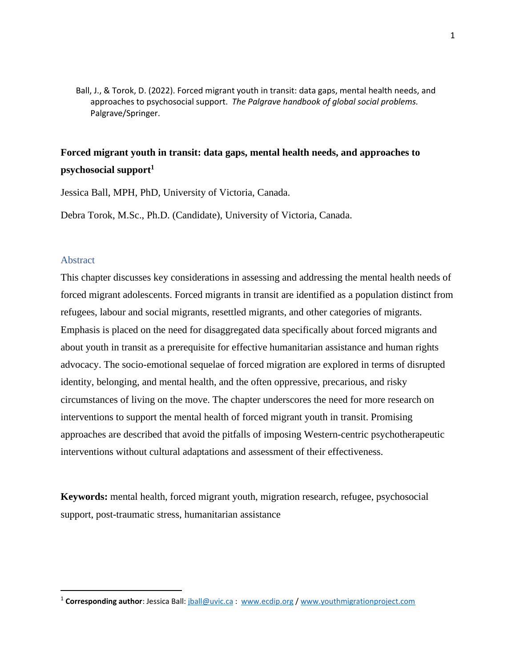Ball, J., & Torok, D. (2022). Forced migrant youth in transit: data gaps, mental health needs, and approaches to psychosocial support. *The Palgrave handbook of global social problems.* Palgrave/Springer.

# **Forced migrant youth in transit: data gaps, mental health needs, and approaches to psychosocial support<sup>1</sup>**

Jessica Ball, MPH, PhD, University of Victoria, Canada.

Debra Torok, M.Sc., Ph.D. (Candidate), University of Victoria, Canada.

### Abstract

This chapter discusses key considerations in assessing and addressing the mental health needs of forced migrant adolescents. Forced migrants in transit are identified as a population distinct from refugees, labour and social migrants, resettled migrants, and other categories of migrants. Emphasis is placed on the need for disaggregated data specifically about forced migrants and about youth in transit as a prerequisite for effective humanitarian assistance and human rights advocacy. The socio-emotional sequelae of forced migration are explored in terms of disrupted identity, belonging, and mental health, and the often oppressive, precarious, and risky circumstances of living on the move. The chapter underscores the need for more research on interventions to support the mental health of forced migrant youth in transit. Promising approaches are described that avoid the pitfalls of imposing Western-centric psychotherapeutic interventions without cultural adaptations and assessment of their effectiveness.

**Keywords:** mental health, forced migrant youth, migration research, refugee, psychosocial support, post-traumatic stress, humanitarian assistance

<sup>&</sup>lt;sup>1</sup> Corresponding author: Jessica Ball: [jball@uvic.ca](mailto:jball@uvic.ca) : [www.ecdip.org](http://www.ecdip.org/) / [www.youthmigrationproject.com](http://www.youthmigrationproject.com/)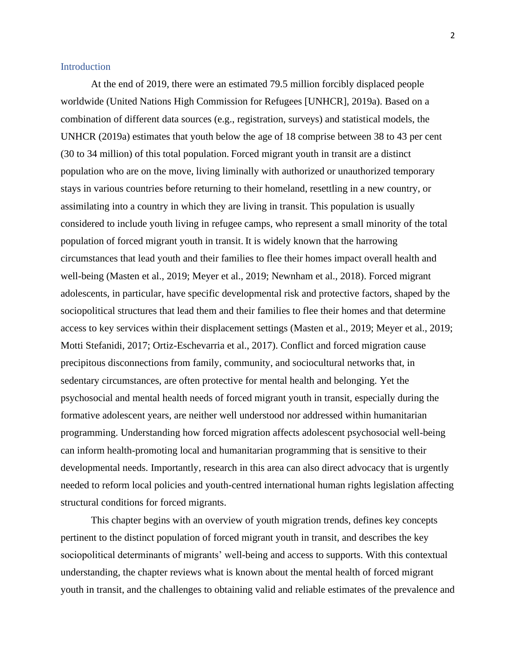#### Introduction

At the end of 2019, there were an estimated 79.5 million forcibly displaced people worldwide (United Nations High Commission for Refugees [UNHCR], 2019a). Based on a combination of different data sources (e.g., registration, surveys) and statistical models, the UNHCR (2019a) estimates that youth below the age of 18 comprise between 38 to 43 per cent (30 to 34 million) of this total population. Forced migrant youth in transit are a distinct population who are on the move, living liminally with authorized or unauthorized temporary stays in various countries before returning to their homeland, resettling in a new country, or assimilating into a country in which they are living in transit. This population is usually considered to include youth living in refugee camps, who represent a small minority of the total population of forced migrant youth in transit. It is widely known that the harrowing circumstances that lead youth and their families to flee their homes impact overall health and well-being (Masten et al., 2019; Meyer et al., 2019; Newnham et al., 2018). Forced migrant adolescents, in particular, have specific developmental risk and protective factors, shaped by the sociopolitical structures that lead them and their families to flee their homes and that determine access to key services within their displacement settings (Masten et al., 2019; Meyer et al., 2019; Motti Stefanidi, 2017; Ortiz-Eschevarria et al., 2017). Conflict and forced migration cause precipitous disconnections from family, community, and sociocultural networks that, in sedentary circumstances, are often protective for mental health and belonging. Yet the psychosocial and mental health needs of forced migrant youth in transit, especially during the formative adolescent years, are neither well understood nor addressed within humanitarian programming. Understanding how forced migration affects adolescent psychosocial well-being can inform health-promoting local and humanitarian programming that is sensitive to their developmental needs. Importantly, research in this area can also direct advocacy that is urgently needed to reform local policies and youth-centred international human rights legislation affecting structural conditions for forced migrants.

This chapter begins with an overview of youth migration trends, defines key concepts pertinent to the distinct population of forced migrant youth in transit, and describes the key sociopolitical determinants of migrants' well-being and access to supports. With this contextual understanding, the chapter reviews what is known about the mental health of forced migrant youth in transit, and the challenges to obtaining valid and reliable estimates of the prevalence and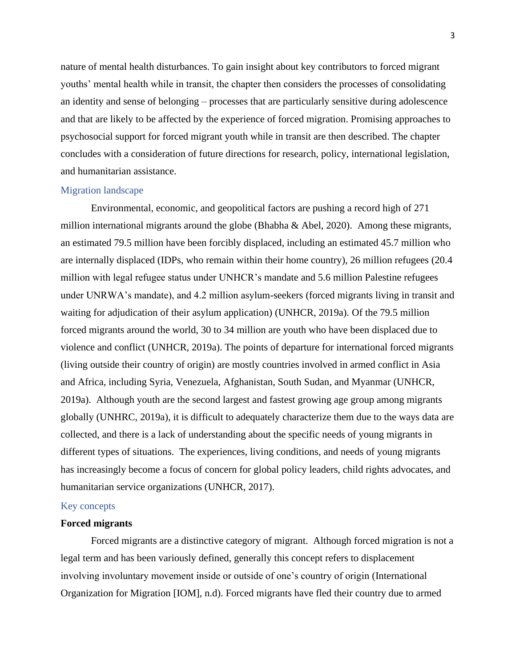nature of mental health disturbances. To gain insight about key contributors to forced migrant youths' mental health while in transit, the chapter then considers the processes of consolidating an identity and sense of belonging – processes that are particularly sensitive during adolescence and that are likely to be affected by the experience of forced migration. Promising approaches to psychosocial support for forced migrant youth while in transit are then described. The chapter concludes with a consideration of future directions for research, policy, international legislation, and humanitarian assistance.

#### Migration landscape

Environmental, economic, and geopolitical factors are pushing a record high of 271 million international migrants around the globe (Bhabha & Abel, 2020). Among these migrants, an estimated 79.5 million have been forcibly displaced, including an estimated 45.7 million who are internally displaced (IDPs, who remain within their home country), 26 million refugees (20.4 million with legal refugee status under UNHCR's mandate and 5.6 million Palestine refugees under UNRWA's mandate), and 4.2 million asylum-seekers (forced migrants living in transit and waiting for adjudication of their asylum application) (UNHCR, 2019a). Of the 79.5 million forced migrants around the world, 30 to 34 million are youth who have been displaced due to violence and conflict (UNHCR, 2019a). The points of departure for international forced migrants (living outside their country of origin) are mostly countries involved in armed conflict in Asia and Africa, including Syria, Venezuela, Afghanistan, South Sudan, and Myanmar (UNHCR, 2019a). Although youth are the second largest and fastest growing age group among migrants globally (UNHRC, 2019a), it is difficult to adequately characterize them due to the ways data are collected, and there is a lack of understanding about the specific needs of young migrants in different types of situations. The experiences, living conditions, and needs of young migrants has increasingly become a focus of concern for global policy leaders, child rights advocates, and humanitarian service organizations (UNHCR, 2017).

## Key concepts

# **Forced migrants**

Forced migrants are a distinctive category of migrant. Although forced migration is not a legal term and has been variously defined, generally this concept refers to displacement involving involuntary movement inside or outside of one's country of origin (International Organization for Migration [IOM], n.d). Forced migrants have fled their country due to armed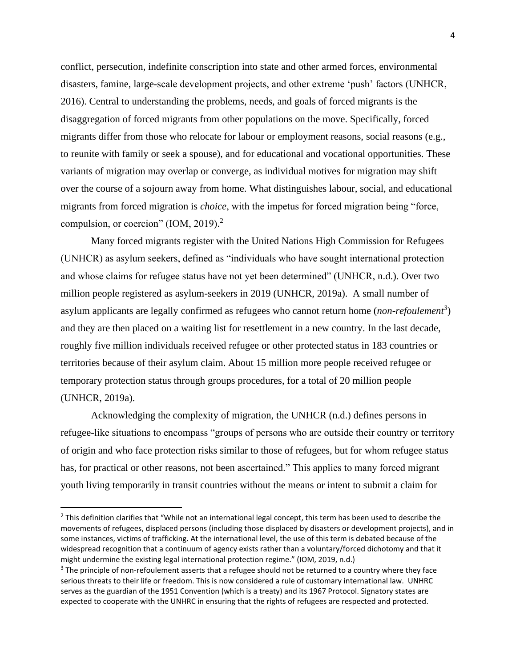conflict, persecution, indefinite conscription into state and other armed forces, environmental disasters, famine, large-scale development projects, and other extreme 'push' factors (UNHCR, 2016). Central to understanding the problems, needs, and goals of forced migrants is the disaggregation of forced migrants from other populations on the move. Specifically, forced migrants differ from those who relocate for labour or employment reasons, social reasons (e.g., to reunite with family or seek a spouse), and for educational and vocational opportunities. These variants of migration may overlap or converge, as individual motives for migration may shift over the course of a sojourn away from home. What distinguishes labour, social, and educational migrants from forced migration is *choice*, with the impetus for forced migration being "force, compulsion, or coercion" (IOM, 2019). $^2$ 

Many forced migrants register with the United Nations High Commission for Refugees (UNHCR) as asylum seekers, defined as "individuals who have sought international protection and whose claims for refugee status have not yet been determined" (UNHCR, n.d.). Over two million people registered as asylum-seekers in 2019 (UNHCR, 2019a). A small number of asylum applicants are legally confirmed as refugees who cannot return home (*non-refoulement<sup>3</sup>* ) and they are then placed on a waiting list for resettlement in a new country. In the last decade, roughly five million individuals received refugee or other protected status in 183 countries or territories because of their asylum claim. About 15 million more people received refugee or temporary protection status through groups procedures, for a total of 20 million people (UNHCR, 2019a).

Acknowledging the complexity of migration, the UNHCR (n.d.) defines persons in refugee-like situations to encompass "groups of persons who are outside their country or territory of origin and who face protection risks similar to those of refugees, but for whom refugee status has, for practical or other reasons, not been ascertained." This applies to many forced migrant youth living temporarily in transit countries without the means or intent to submit a claim for

 $^2$  This definition clarifies that "While not an international legal concept, this term has been used to describe the movements of refugees, displaced persons (including those displaced by disasters or development projects), and in some instances, victims of trafficking. At the international level, the use of this term is debated because of the widespread recognition that a continuum of agency exists rather than a voluntary/forced dichotomy and that it might undermine the existing legal international protection regime." (IOM, 2019, n.d.)

 $3$  The principle of non-refoulement asserts that a refugee should not be returned to a country where they face serious threats to their life or freedom. This is now considered a rule of customary international law. UNHRC serves as the guardian of the 1951 Convention (which is a treaty) and its 1967 Protocol. Signatory states are expected to cooperate with the UNHRC in ensuring that the rights of refugees are respected and protected.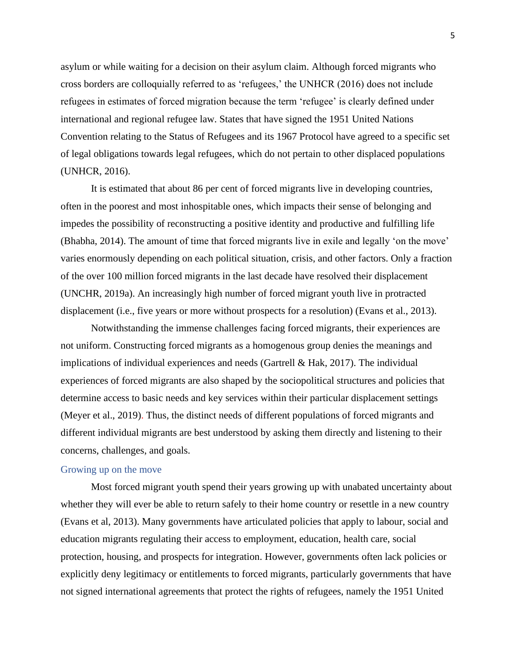asylum or while waiting for a decision on their asylum claim. Although forced migrants who cross borders are colloquially referred to as 'refugees,' the UNHCR (2016) does not include refugees in estimates of forced migration because the term 'refugee' is clearly defined under international and regional refugee law. States that have signed the 1951 United Nations Convention relating to the Status of Refugees and its 1967 Protocol have agreed to a specific set of legal obligations towards legal refugees, which do not pertain to other displaced populations (UNHCR, 2016).

It is estimated that about 86 per cent of forced migrants live in developing countries, often in the poorest and most inhospitable ones, which impacts their sense of belonging and impedes the possibility of reconstructing a positive identity and productive and fulfilling life (Bhabha, 2014). The amount of time that forced migrants live in exile and legally 'on the move' varies enormously depending on each political situation, crisis, and other factors. Only a fraction of the over 100 million forced migrants in the last decade have resolved their displacement (UNCHR, 2019a). An increasingly high number of forced migrant youth live in protracted displacement (i.e., five years or more without prospects for a resolution) (Evans et al., 2013).

Notwithstanding the immense challenges facing forced migrants, their experiences are not uniform. Constructing forced migrants as a homogenous group denies the meanings and implications of individual experiences and needs (Gartrell  $\&$  Hak, 2017). The individual experiences of forced migrants are also shaped by the sociopolitical structures and policies that determine access to basic needs and key services within their particular displacement settings (Meyer et al., 2019). Thus, the distinct needs of different populations of forced migrants and different individual migrants are best understood by asking them directly and listening to their concerns, challenges, and goals.

### Growing up on the move

Most forced migrant youth spend their years growing up with unabated uncertainty about whether they will ever be able to return safely to their home country or resettle in a new country (Evans et al, 2013). Many governments have articulated policies that apply to labour, social and education migrants regulating their access to employment, education, health care, social protection, housing, and prospects for integration. However, governments often lack policies or explicitly deny legitimacy or entitlements to forced migrants, particularly governments that have not signed international agreements that protect the rights of refugees, namely the 1951 United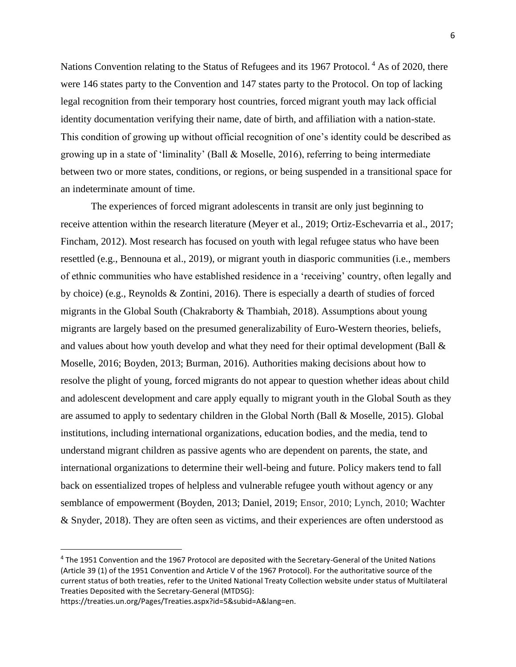Nations Convention relating to the Status of Refugees and its 1967 Protocol.<sup>4</sup> As of 2020, there were 146 states party to the Convention and 147 states party to the Protocol. On top of lacking legal recognition from their temporary host countries, forced migrant youth may lack official identity documentation verifying their name, date of birth, and affiliation with a nation-state. This condition of growing up without official recognition of one's identity could be described as growing up in a state of 'liminality' (Ball & Moselle, 2016), referring to being intermediate between two or more states, conditions, or regions, or being suspended in a transitional space for an indeterminate amount of time.

The experiences of forced migrant adolescents in transit are only just beginning to receive attention within the research literature (Meyer et al., 2019; Ortiz-Eschevarria et al., 2017; Fincham, 2012). Most research has focused on youth with legal refugee status who have been resettled (e.g., Bennouna et al., 2019), or migrant youth in diasporic communities (i.e., members of ethnic communities who have established residence in a 'receiving' country, often legally and by choice) (e.g., Reynolds & Zontini, 2016). There is especially a dearth of studies of forced migrants in the Global South (Chakraborty & Thambiah, 2018). Assumptions about young migrants are largely based on the presumed generalizability of Euro-Western theories, beliefs, and values about how youth develop and what they need for their optimal development (Ball & Moselle, 2016; Boyden, 2013; Burman, 2016). Authorities making decisions about how to resolve the plight of young, forced migrants do not appear to question whether ideas about child and adolescent development and care apply equally to migrant youth in the Global South as they are assumed to apply to sedentary children in the Global North (Ball & Moselle, 2015). Global institutions, including international organizations, education bodies, and the media, tend to understand migrant children as passive agents who are dependent on parents, the state, and international organizations to determine their well-being and future. Policy makers tend to fall back on essentialized tropes of helpless and vulnerable refugee youth without agency or any semblance of empowerment (Boyden, 2013; Daniel, 2019; Ensor, 2010; Lynch, 2010; Wachter & Snyder, 2018). They are often seen as victims, and their experiences are often understood as

<sup>&</sup>lt;sup>4</sup> The 1951 Convention and the 1967 Protocol are deposited with the Secretary-General of the United Nations (Article 39 (1) of the 1951 Convention and Article V of the 1967 Protocol). For the authoritative source of the current status of both treaties, refer to the United National Treaty Collection website under status of Multilateral Treaties Deposited with the Secretary-General (MTDSG):

https://treaties.un.org/Pages/Treaties.aspx?id=5&subid=A&lang=en.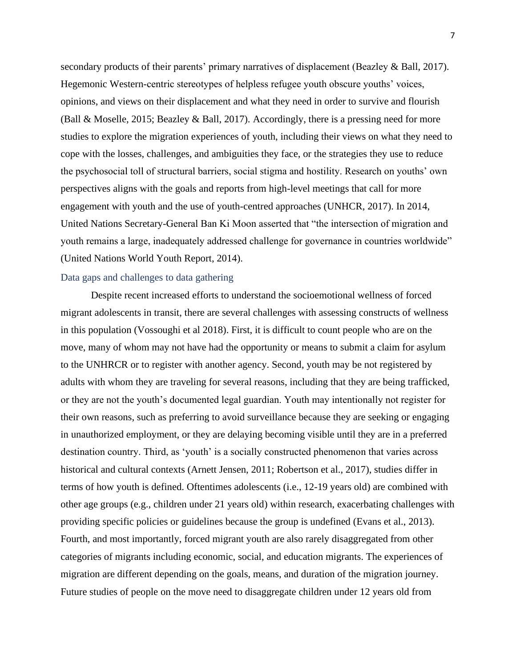secondary products of their parents' primary narratives of displacement (Beazley & Ball, 2017). Hegemonic Western-centric stereotypes of helpless refugee youth obscure youths' voices, opinions, and views on their displacement and what they need in order to survive and flourish (Ball & Moselle, 2015; Beazley & Ball, 2017). Accordingly, there is a pressing need for more studies to explore the migration experiences of youth, including their views on what they need to cope with the losses, challenges, and ambiguities they face, or the strategies they use to reduce the psychosocial toll of structural barriers, social stigma and hostility. Research on youths' own perspectives aligns with the goals and reports from high-level meetings that call for more engagement with youth and the use of youth-centred approaches (UNHCR, 2017). In 2014, United Nations Secretary-General Ban Ki Moon asserted that "the intersection of migration and youth remains a large, inadequately addressed challenge for governance in countries worldwide" (United Nations World Youth Report, 2014).

## Data gaps and challenges to data gathering

Despite recent increased efforts to understand the socioemotional wellness of forced migrant adolescents in transit, there are several challenges with assessing constructs of wellness in this population (Vossoughi et al 2018). First, it is difficult to count people who are on the move, many of whom may not have had the opportunity or means to submit a claim for asylum to the UNHRCR or to register with another agency. Second, youth may be not registered by adults with whom they are traveling for several reasons, including that they are being trafficked, or they are not the youth's documented legal guardian. Youth may intentionally not register for their own reasons, such as preferring to avoid surveillance because they are seeking or engaging in unauthorized employment, or they are delaying becoming visible until they are in a preferred destination country. Third, as 'youth' is a socially constructed phenomenon that varies across historical and cultural contexts (Arnett Jensen, 2011; Robertson et al., 2017), studies differ in terms of how youth is defined. Oftentimes adolescents (i.e., 12-19 years old) are combined with other age groups (e.g., children under 21 years old) within research, exacerbating challenges with providing specific policies or guidelines because the group is undefined (Evans et al., 2013). Fourth, and most importantly, forced migrant youth are also rarely disaggregated from other categories of migrants including economic, social, and education migrants. The experiences of migration are different depending on the goals, means, and duration of the migration journey. Future studies of people on the move need to disaggregate children under 12 years old from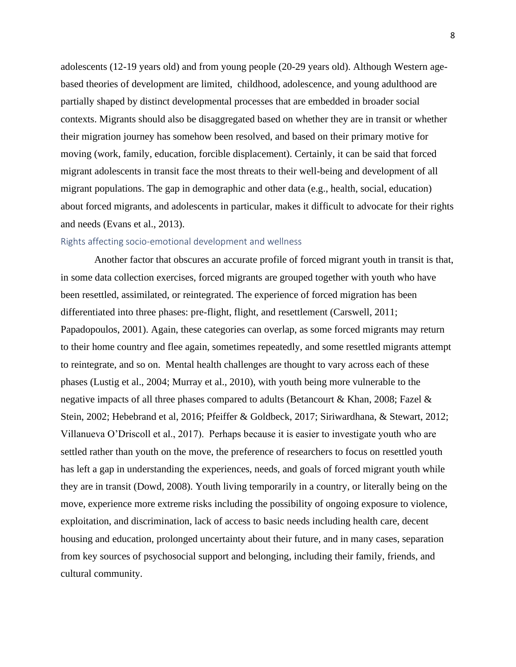adolescents (12-19 years old) and from young people (20-29 years old). Although Western agebased theories of development are limited, childhood, adolescence, and young adulthood are partially shaped by distinct developmental processes that are embedded in broader social contexts. Migrants should also be disaggregated based on whether they are in transit or whether their migration journey has somehow been resolved, and based on their primary motive for moving (work, family, education, forcible displacement). Certainly, it can be said that forced migrant adolescents in transit face the most threats to their well-being and development of all migrant populations. The gap in demographic and other data (e.g., health, social, education) about forced migrants, and adolescents in particular, makes it difficult to advocate for their rights and needs (Evans et al., 2013).

#### Rights affecting socio-emotional development and wellness

Another factor that obscures an accurate profile of forced migrant youth in transit is that, in some data collection exercises, forced migrants are grouped together with youth who have been resettled, assimilated, or reintegrated. The experience of forced migration has been differentiated into three phases: pre-flight, flight, and resettlement (Carswell, 2011; Papadopoulos, 2001). Again, these categories can overlap, as some forced migrants may return to their home country and flee again, sometimes repeatedly, and some resettled migrants attempt to reintegrate, and so on. Mental health challenges are thought to vary across each of these phases (Lustig et al., 2004; Murray et al., 2010), with youth being more vulnerable to the negative impacts of all three phases compared to adults (Betancourt & Khan, 2008; Fazel & Stein, 2002; Hebebrand et al, 2016; Pfeiffer & Goldbeck, 2017; Siriwardhana, & Stewart, 2012; Villanueva O'Driscoll et al., 2017). Perhaps because it is easier to investigate youth who are settled rather than youth on the move, the preference of researchers to focus on resettled youth has left a gap in understanding the experiences, needs, and goals of forced migrant youth while they are in transit (Dowd, 2008). Youth living temporarily in a country, or literally being on the move, experience more extreme risks including the possibility of ongoing exposure to violence, exploitation, and discrimination, lack of access to basic needs including health care, decent housing and education, prolonged uncertainty about their future, and in many cases, separation from key sources of psychosocial support and belonging, including their family, friends, and cultural community.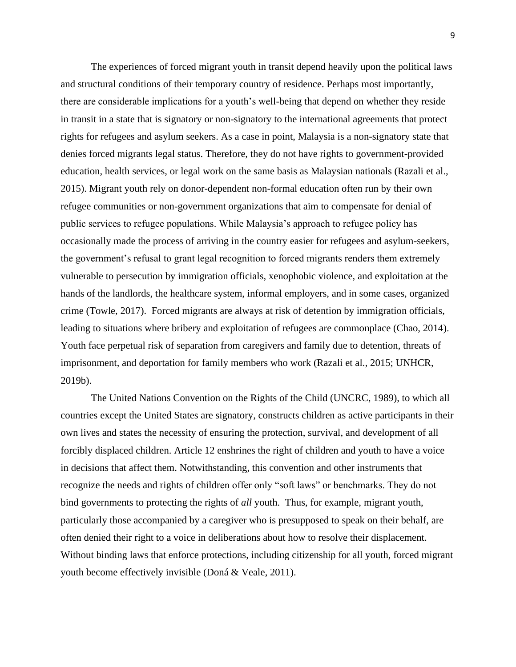The experiences of forced migrant youth in transit depend heavily upon the political laws and structural conditions of their temporary country of residence. Perhaps most importantly, there are considerable implications for a youth's well-being that depend on whether they reside in transit in a state that is signatory or non-signatory to the international agreements that protect rights for refugees and asylum seekers. As a case in point, Malaysia is a non-signatory state that denies forced migrants legal status. Therefore, they do not have rights to government-provided education, health services, or legal work on the same basis as Malaysian nationals (Razali et al., 2015). Migrant youth rely on donor-dependent non-formal education often run by their own refugee communities or non-government organizations that aim to compensate for denial of public services to refugee populations. While Malaysia's approach to refugee policy has occasionally made the process of arriving in the country easier for refugees and asylum-seekers, the government's refusal to grant legal recognition to forced migrants renders them extremely vulnerable to persecution by immigration officials, xenophobic violence, and exploitation at the hands of the landlords, the healthcare system, informal employers, and in some cases, organized crime (Towle, 2017). Forced migrants are always at risk of detention by immigration officials, leading to situations where bribery and exploitation of refugees are commonplace (Chao, 2014). Youth face perpetual risk of separation from caregivers and family due to detention, threats of imprisonment, and deportation for family members who work (Razali et al., 2015; UNHCR, 2019b).

The United Nations Convention on the Rights of the Child (UNCRC, 1989), to which all countries except the United States are signatory, constructs children as active participants in their own lives and states the necessity of ensuring the protection, survival, and development of all forcibly displaced children. Article 12 enshrines the right of children and youth to have a voice in decisions that affect them. Notwithstanding, this convention and other instruments that recognize the needs and rights of children offer only "soft laws" or benchmarks. They do not bind governments to protecting the rights of *all* youth. Thus, for example, migrant youth, particularly those accompanied by a caregiver who is presupposed to speak on their behalf, are often denied their right to a voice in deliberations about how to resolve their displacement. Without binding laws that enforce protections, including citizenship for all youth, forced migrant youth become effectively invisible (Doná & Veale, 2011).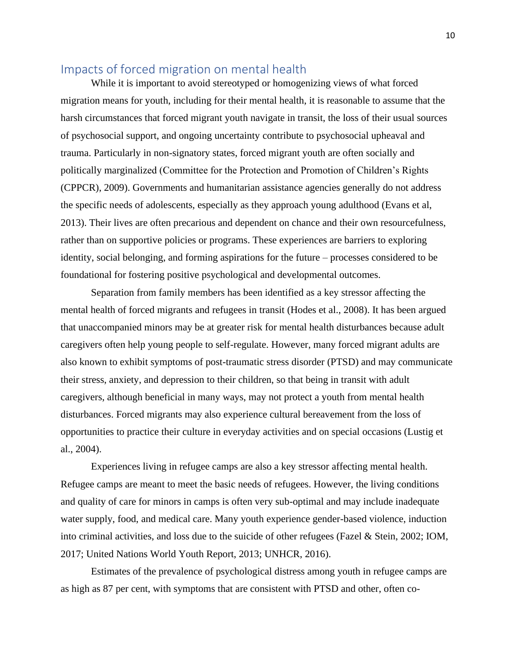# Impacts of forced migration on mental health

While it is important to avoid stereotyped or homogenizing views of what forced migration means for youth, including for their mental health, it is reasonable to assume that the harsh circumstances that forced migrant youth navigate in transit, the loss of their usual sources of psychosocial support, and ongoing uncertainty contribute to psychosocial upheaval and trauma. Particularly in non-signatory states, forced migrant youth are often socially and politically marginalized (Committee for the Protection and Promotion of Children's Rights (CPPCR), 2009). Governments and humanitarian assistance agencies generally do not address the specific needs of adolescents, especially as they approach young adulthood (Evans et al, 2013). Their lives are often precarious and dependent on chance and their own resourcefulness, rather than on supportive policies or programs. These experiences are barriers to exploring identity, social belonging, and forming aspirations for the future – processes considered to be foundational for fostering positive psychological and developmental outcomes.

Separation from family members has been identified as a key stressor affecting the mental health of forced migrants and refugees in transit (Hodes et al., 2008). It has been argued that unaccompanied minors may be at greater risk for mental health disturbances because adult caregivers often help young people to self-regulate. However, many forced migrant adults are also known to exhibit symptoms of post-traumatic stress disorder (PTSD) and may communicate their stress, anxiety, and depression to their children, so that being in transit with adult caregivers, although beneficial in many ways, may not protect a youth from mental health disturbances. Forced migrants may also experience cultural bereavement from the loss of opportunities to practice their culture in everyday activities and on special occasions (Lustig et al., 2004).

Experiences living in refugee camps are also a key stressor affecting mental health. Refugee camps are meant to meet the basic needs of refugees. However, the living conditions and quality of care for minors in camps is often very sub-optimal and may include inadequate water supply, food, and medical care. Many youth experience gender-based violence, induction into criminal activities, and loss due to the suicide of other refugees (Fazel & Stein, 2002; IOM, 2017; United Nations World Youth Report, 2013; UNHCR, 2016).

Estimates of the prevalence of psychological distress among youth in refugee camps are as high as 87 per cent, with symptoms that are consistent with PTSD and other, often co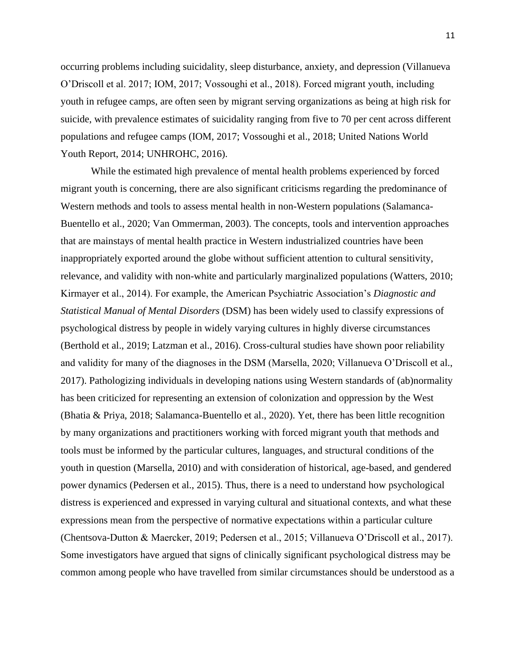occurring problems including suicidality, sleep disturbance, anxiety, and depression (Villanueva O'Driscoll et al. 2017; IOM, 2017; Vossoughi et al., 2018). Forced migrant youth, including youth in refugee camps, are often seen by migrant serving organizations as being at high risk for suicide, with prevalence estimates of suicidality ranging from five to 70 per cent across different populations and refugee camps (IOM, 2017; Vossoughi et al., 2018; United Nations World Youth Report, 2014; UNHROHC, 2016).

While the estimated high prevalence of mental health problems experienced by forced migrant youth is concerning, there are also significant criticisms regarding the predominance of Western methods and tools to assess mental health in non-Western populations (Salamanca-Buentello et al., 2020; Van Ommerman, 2003). The concepts, tools and intervention approaches that are mainstays of mental health practice in Western industrialized countries have been inappropriately exported around the globe without sufficient attention to cultural sensitivity, relevance, and validity with non-white and particularly marginalized populations (Watters, 2010; Kirmayer et al., 2014). For example, the American Psychiatric Association's *Diagnostic and Statistical Manual of Mental Disorders* (DSM) has been widely used to classify expressions of psychological distress by people in widely varying cultures in highly diverse circumstances (Berthold et al., 2019; Latzman et al., 2016). Cross-cultural studies have shown poor reliability and validity for many of the diagnoses in the DSM (Marsella, 2020; Villanueva O'Driscoll et al., 2017). Pathologizing individuals in developing nations using Western standards of (ab)normality has been criticized for representing an extension of colonization and oppression by the West (Bhatia & Priya, 2018; Salamanca-Buentello et al., 2020). Yet, there has been little recognition by many organizations and practitioners working with forced migrant youth that methods and tools must be informed by the particular cultures, languages, and structural conditions of the youth in question (Marsella, 2010) and with consideration of historical, age-based, and gendered power dynamics (Pedersen et al., 2015). Thus, there is a need to understand how psychological distress is experienced and expressed in varying cultural and situational contexts, and what these expressions mean from the perspective of normative expectations within a particular culture (Chentsova-Dutton & Maercker, 2019; Pedersen et al., 2015; Villanueva O'Driscoll et al., 2017). Some investigators have argued that signs of clinically significant psychological distress may be common among people who have travelled from similar circumstances should be understood as a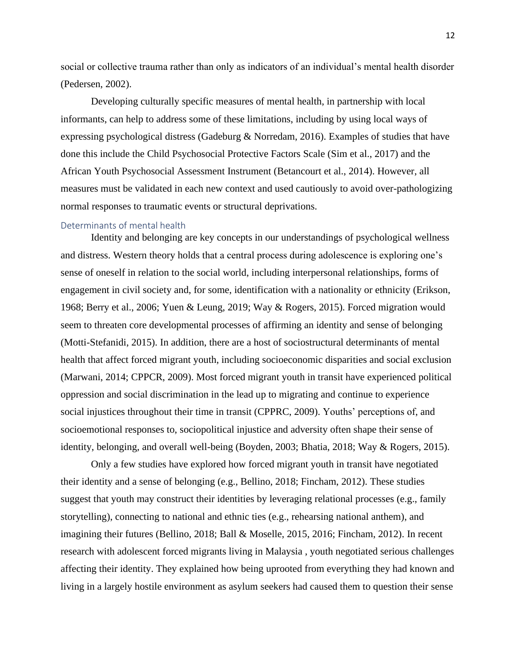social or collective trauma rather than only as indicators of an individual's mental health disorder (Pedersen, 2002).

Developing culturally specific measures of mental health, in partnership with local informants, can help to address some of these limitations, including by using local ways of expressing psychological distress (Gadeburg & Norredam, 2016). Examples of studies that have done this include the Child Psychosocial Protective Factors Scale (Sim et al., 2017) and the African Youth Psychosocial Assessment Instrument (Betancourt et al., 2014). However, all measures must be validated in each new context and used cautiously to avoid over-pathologizing normal responses to traumatic events or structural deprivations.

#### Determinants of mental health

Identity and belonging are key concepts in our understandings of psychological wellness and distress. Western theory holds that a central process during adolescence is exploring one's sense of oneself in relation to the social world, including interpersonal relationships, forms of engagement in civil society and, for some, identification with a nationality or ethnicity (Erikson, 1968; Berry et al., 2006; Yuen & Leung, 2019; Way & Rogers, 2015). Forced migration would seem to threaten core developmental processes of affirming an identity and sense of belonging (Motti-Stefanidi, 2015). In addition, there are a host of sociostructural determinants of mental health that affect forced migrant youth, including socioeconomic disparities and social exclusion (Marwani, 2014; CPPCR, 2009). Most forced migrant youth in transit have experienced political oppression and social discrimination in the lead up to migrating and continue to experience social injustices throughout their time in transit (CPPRC, 2009). Youths' perceptions of, and socioemotional responses to, sociopolitical injustice and adversity often shape their sense of identity, belonging, and overall well-being (Boyden, 2003; Bhatia, 2018; Way & Rogers, 2015).

Only a few studies have explored how forced migrant youth in transit have negotiated their identity and a sense of belonging (e.g., Bellino, 2018; Fincham, 2012). These studies suggest that youth may construct their identities by leveraging relational processes (e.g., family storytelling), connecting to national and ethnic ties (e.g., rehearsing national anthem), and imagining their futures (Bellino, 2018; Ball & Moselle, 2015, 2016; Fincham, 2012). In recent research with adolescent forced migrants living in Malaysia , youth negotiated serious challenges affecting their identity. They explained how being uprooted from everything they had known and living in a largely hostile environment as asylum seekers had caused them to question their sense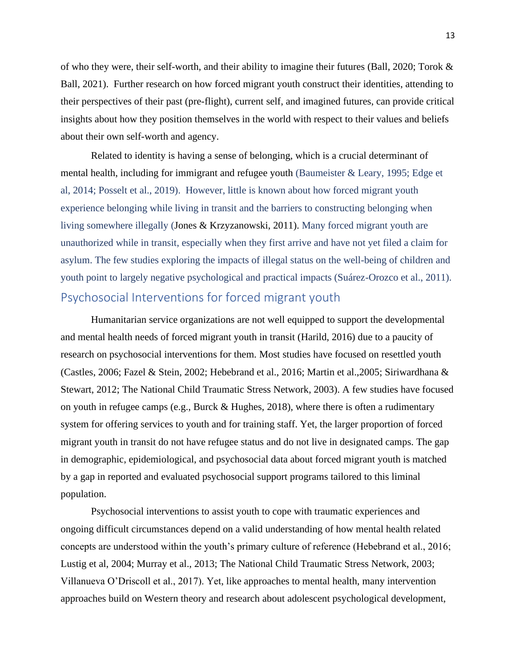of who they were, their self-worth, and their ability to imagine their futures (Ball, 2020; Torok  $\&$ Ball, 2021). Further research on how forced migrant youth construct their identities, attending to their perspectives of their past (pre-flight), current self, and imagined futures, can provide critical insights about how they position themselves in the world with respect to their values and beliefs about their own self-worth and agency.

Related to identity is having a sense of belonging, which is a crucial determinant of mental health, including for immigrant and refugee youth (Baumeister & Leary, 1995; Edge et al, 2014; Posselt et al., 2019). However, little is known about how forced migrant youth experience belonging while living in transit and the barriers to constructing belonging when living somewhere illegally (Jones & Krzyzanowski, 2011). Many forced migrant youth are unauthorized while in transit, especially when they first arrive and have not yet filed a claim for asylum. The few studies exploring the impacts of illegal status on the well-being of children and youth point to largely negative psychological and practical impacts (Suárez-Orozco et al., 2011). Psychosocial Interventions for forced migrant youth

Humanitarian service organizations are not well equipped to support the developmental and mental health needs of forced migrant youth in transit (Harild, 2016) due to a paucity of research on psychosocial interventions for them. Most studies have focused on resettled youth (Castles, 2006; Fazel & Stein, 2002; Hebebrand et al., 2016; Martin et al.,2005; Siriwardhana & Stewart, 2012; The National Child Traumatic Stress Network, 2003). A few studies have focused on youth in refugee camps (e.g., Burck & Hughes, 2018), where there is often a rudimentary system for offering services to youth and for training staff. Yet, the larger proportion of forced migrant youth in transit do not have refugee status and do not live in designated camps. The gap in demographic, epidemiological, and psychosocial data about forced migrant youth is matched by a gap in reported and evaluated psychosocial support programs tailored to this liminal population.

Psychosocial interventions to assist youth to cope with traumatic experiences and ongoing difficult circumstances depend on a valid understanding of how mental health related concepts are understood within the youth's primary culture of reference (Hebebrand et al., 2016; Lustig et al, 2004; Murray et al., 2013; The National Child Traumatic Stress Network, 2003; Villanueva O'Driscoll et al., 2017). Yet, like approaches to mental health, many intervention approaches build on Western theory and research about adolescent psychological development,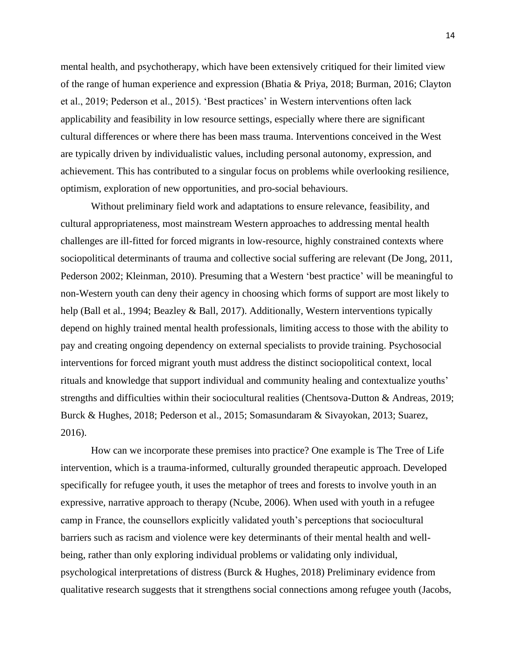mental health, and psychotherapy, which have been extensively critiqued for their limited view of the range of human experience and expression (Bhatia & Priya, 2018; Burman, 2016; Clayton et al., 2019; Pederson et al., 2015). 'Best practices' in Western interventions often lack applicability and feasibility in low resource settings, especially where there are significant cultural differences or where there has been mass trauma. Interventions conceived in the West are typically driven by individualistic values, including personal autonomy, expression, and achievement. This has contributed to a singular focus on problems while overlooking resilience, optimism, exploration of new opportunities, and pro-social behaviours.

Without preliminary field work and adaptations to ensure relevance, feasibility, and cultural appropriateness, most mainstream Western approaches to addressing mental health challenges are ill-fitted for forced migrants in low-resource, highly constrained contexts where sociopolitical determinants of trauma and collective social suffering are relevant (De Jong, 2011, Pederson 2002; Kleinman, 2010). Presuming that a Western 'best practice' will be meaningful to non-Western youth can deny their agency in choosing which forms of support are most likely to help (Ball et al., 1994; Beazley & Ball, 2017). Additionally, Western interventions typically depend on highly trained mental health professionals, limiting access to those with the ability to pay and creating ongoing dependency on external specialists to provide training. Psychosocial interventions for forced migrant youth must address the distinct sociopolitical context, local rituals and knowledge that support individual and community healing and contextualize youths' strengths and difficulties within their sociocultural realities (Chentsova-Dutton & Andreas, 2019; Burck & Hughes, 2018; Pederson et al., 2015; Somasundaram & Sivayokan, 2013; Suarez, 2016).

How can we incorporate these premises into practice? One example is The Tree of Life intervention, which is a trauma-informed, culturally grounded therapeutic approach. Developed specifically for refugee youth, it uses the metaphor of trees and forests to involve youth in an expressive, narrative approach to therapy (Ncube, 2006). When used with youth in a refugee camp in France, the counsellors explicitly validated youth's perceptions that sociocultural barriers such as racism and violence were key determinants of their mental health and wellbeing, rather than only exploring individual problems or validating only individual, psychological interpretations of distress (Burck & Hughes, 2018) Preliminary evidence from qualitative research suggests that it strengthens social connections among refugee youth (Jacobs,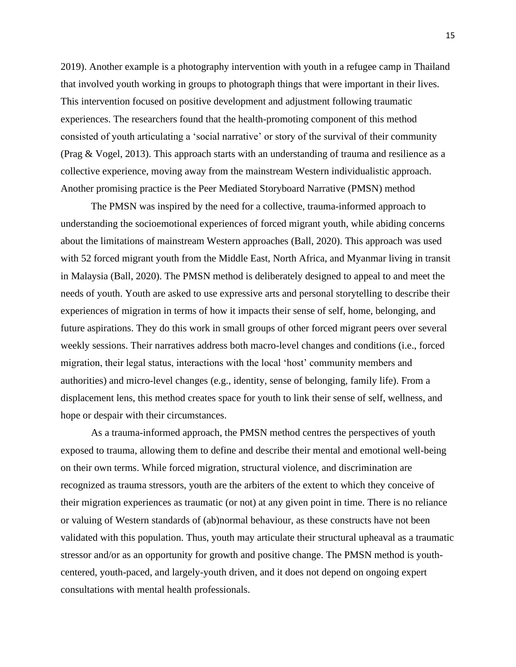2019). Another example is a photography intervention with youth in a refugee camp in Thailand that involved youth working in groups to photograph things that were important in their lives. This intervention focused on positive development and adjustment following traumatic experiences. The researchers found that the health-promoting component of this method consisted of youth articulating a 'social narrative' or story of the survival of their community (Prag & Vogel, 2013). This approach starts with an understanding of trauma and resilience as a collective experience, moving away from the mainstream Western individualistic approach. Another promising practice is the Peer Mediated Storyboard Narrative (PMSN) method

The PMSN was inspired by the need for a collective, trauma-informed approach to understanding the socioemotional experiences of forced migrant youth, while abiding concerns about the limitations of mainstream Western approaches (Ball, 2020). This approach was used with 52 forced migrant youth from the Middle East, North Africa, and Myanmar living in transit in Malaysia (Ball, 2020). The PMSN method is deliberately designed to appeal to and meet the needs of youth. Youth are asked to use expressive arts and personal storytelling to describe their experiences of migration in terms of how it impacts their sense of self, home, belonging, and future aspirations. They do this work in small groups of other forced migrant peers over several weekly sessions. Their narratives address both macro-level changes and conditions (i.e., forced migration, their legal status, interactions with the local 'host' community members and authorities) and micro-level changes (e.g., identity, sense of belonging, family life). From a displacement lens, this method creates space for youth to link their sense of self, wellness, and hope or despair with their circumstances.

As a trauma-informed approach, the PMSN method centres the perspectives of youth exposed to trauma, allowing them to define and describe their mental and emotional well-being on their own terms. While forced migration, structural violence, and discrimination are recognized as trauma stressors, youth are the arbiters of the extent to which they conceive of their migration experiences as traumatic (or not) at any given point in time. There is no reliance or valuing of Western standards of (ab)normal behaviour, as these constructs have not been validated with this population. Thus, youth may articulate their structural upheaval as a traumatic stressor and/or as an opportunity for growth and positive change. The PMSN method is youthcentered, youth-paced, and largely-youth driven, and it does not depend on ongoing expert consultations with mental health professionals.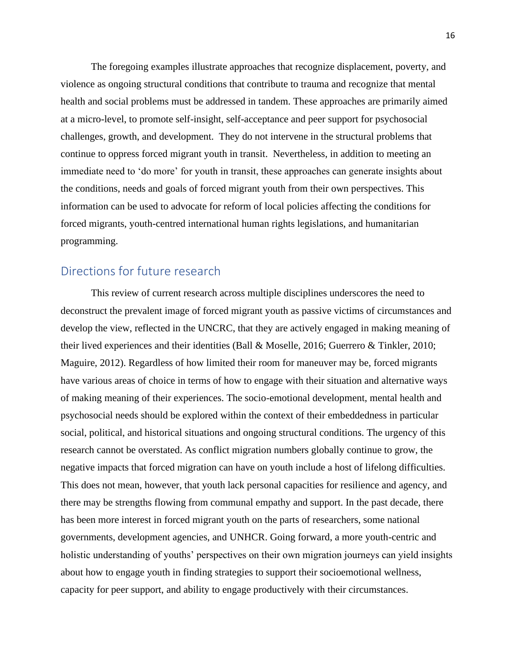The foregoing examples illustrate approaches that recognize displacement, poverty, and violence as ongoing structural conditions that contribute to trauma and recognize that mental health and social problems must be addressed in tandem. These approaches are primarily aimed at a micro-level, to promote self-insight, self-acceptance and peer support for psychosocial challenges, growth, and development. They do not intervene in the structural problems that continue to oppress forced migrant youth in transit. Nevertheless, in addition to meeting an immediate need to 'do more' for youth in transit, these approaches can generate insights about the conditions, needs and goals of forced migrant youth from their own perspectives. This information can be used to advocate for reform of local policies affecting the conditions for forced migrants, youth-centred international human rights legislations, and humanitarian programming.

# Directions for future research

This review of current research across multiple disciplines underscores the need to deconstruct the prevalent image of forced migrant youth as passive victims of circumstances and develop the view, reflected in the UNCRC, that they are actively engaged in making meaning of their lived experiences and their identities (Ball & Moselle, 2016; Guerrero & Tinkler, 2010; Maguire, 2012). Regardless of how limited their room for maneuver may be, forced migrants have various areas of choice in terms of how to engage with their situation and alternative ways of making meaning of their experiences. The socio-emotional development, mental health and psychosocial needs should be explored within the context of their embeddedness in particular social, political, and historical situations and ongoing structural conditions. The urgency of this research cannot be overstated. As conflict migration numbers globally continue to grow, the negative impacts that forced migration can have on youth include a host of lifelong difficulties. This does not mean, however, that youth lack personal capacities for resilience and agency, and there may be strengths flowing from communal empathy and support. In the past decade, there has been more interest in forced migrant youth on the parts of researchers, some national governments, development agencies, and UNHCR. Going forward, a more youth-centric and holistic understanding of youths' perspectives on their own migration journeys can yield insights about how to engage youth in finding strategies to support their socioemotional wellness, capacity for peer support, and ability to engage productively with their circumstances.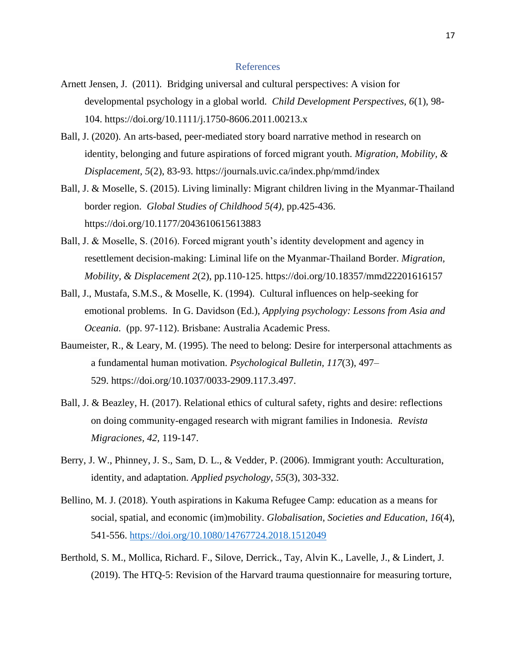#### References

- Arnett Jensen, J. (2011). Bridging universal and cultural perspectives: A vision for developmental psychology in a global world. *Child Development Perspectives, 6*(1), 98- 104. https://doi.org/10.1111/j.1750-8606.2011.00213.x
- Ball, J. (2020). An arts-based, peer-mediated story board narrative method in research on identity, belonging and future aspirations of forced migrant youth. *Migration, Mobility, & Displacement, 5*(2), 83-93.<https://journals.uvic.ca/index.php/mmd/index>
- Ball, J. & Moselle, S. (2015). Living liminally: Migrant children living in the Myanmar-Thailand border region. *Global Studies of Childhood 5(4),* pp.425-436. [https://doi.org/10.1177/2043610615613883](https://doi.org/10.1177%2F2043610615613883)
- Ball, J. & Moselle, S. (2016). Forced migrant youth's identity development and agency in resettlement decision-making: Liminal life on the Myanmar-Thailand Border. *Migration, Mobility, & Displacement 2*(2), pp.110-125.<https://doi.org/10.18357/mmd22201616157>
- Ball, J., Mustafa, S.M.S., & Moselle, K. (1994). Cultural influences on help-seeking for emotional problems. In G. Davidson (Ed.), *Applying psychology: Lessons from Asia and Oceania.* (pp. 97-112). Brisbane: Australia Academic Press.
- Baumeister, R., & Leary, M. (1995). The need to belong: Desire for interpersonal attachments as a fundamental human motivation. *Psychological Bulletin, 117*(3), 497– 529. [https://doi.org/10.1037/0033-2909.117.3.497.](https://doi.org/10.1037/0033-2909.117.3.497)
- Ball, J. & Beazley, H. (2017). Relational ethics of cultural safety, rights and desire: reflections on doing community-engaged research with migrant families in Indonesia. *Revista Migraciones, 42,* 119-147.
- Berry, J. W., Phinney, J. S., Sam, D. L., & Vedder, P. (2006). Immigrant youth: Acculturation, identity, and adaptation. *Applied psychology*, *55*(3), 303-332.
- Bellino, M. J. (2018). Youth aspirations in Kakuma Refugee Camp: education as a means for social, spatial, and economic (im)mobility. *Globalisation, Societies and Education*, *16*(4), 541-556.<https://doi.org/10.1080/14767724.2018.1512049>
- Berthold, S. M., Mollica, Richard. F., Silove, Derrick., Tay, Alvin K., Lavelle, J., & Lindert, J. (2019). The HTQ-5: Revision of the Harvard trauma questionnaire for measuring torture,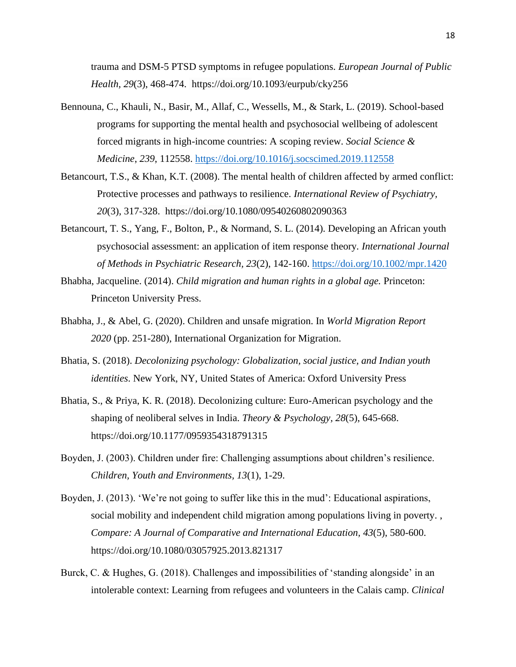trauma and DSM-5 PTSD symptoms in refugee populations. *European Journal of Public Health, 29*(3), 468-474. [https://doi.org/1](https://doi.org/10.1037/0033-2909.117.3.497)0.1093/eurpub/cky256

- Bennouna, C., Khauli, N., Basir, M., Allaf, C., Wessells, M., & Stark, L. (2019). School-based programs for supporting the mental health and psychosocial wellbeing of adolescent forced migrants in high-income countries: A scoping review. *Social Science & Medicine*, *239*, 112558. <https://doi.org/10.1016/j.socscimed.2019.112558>
- Betancourt, T.S., & Khan, K.T. (2008). The mental health of children affected by armed conflict: Protective processes and pathways to resilience. *International Review of Psychiatry, 20*(3), 317-328. [https://doi.org/1](https://doi.org/10.1037/0033-2909.117.3.497)0.1080/09540260802090363
- Betancourt, T. S., Yang, F., Bolton, P., & Normand, S. L. (2014). Developing an African youth psychosocial assessment: an application of item response theory*. International Journal of Methods in Psychiatric Research, 23*(2), 142-160. <https://doi.org/10.1002/mpr.1420>
- Bhabha, Jacqueline. (2014). *Child migration and human rights in a global age.* Princeton: Princeton University Press.
- Bhabha, J., & Abel, G. (2020). Children and unsafe migration. In *World Migration Report 2020* (pp. 251-280), International Organization for Migration.
- Bhatia, S. (2018). *Decolonizing psychology: Globalization, social justice, and Indian youth identities*. New York, NY, United States of America: Oxford University Press
- Bhatia, S., & Priya, K. R. (2018). Decolonizing culture: Euro-American psychology and the shaping of neoliberal selves in India. *Theory & Psychology, 28*(5), 645-668. https://doi.org/10.1177/0959354318791315
- Boyden, J. (2003). Children under fire: Challenging assumptions about children's resilience. *Children, Youth and Environments, 13*(1), 1-29.
- Boyden, J. (2013). 'We're not going to suffer like this in the mud': Educational aspirations, social mobility and independent child migration among populations living in poverty. , *Compare: A Journal of Comparative and International Education, 43*(5), 580-600. https://doi.org/10.1080/03057925.2013.821317
- Burck, C. & Hughes, G. (2018). Challenges and impossibilities of 'standing alongside' in an intolerable context: Learning from refugees and volunteers in the Calais camp. *Clinical*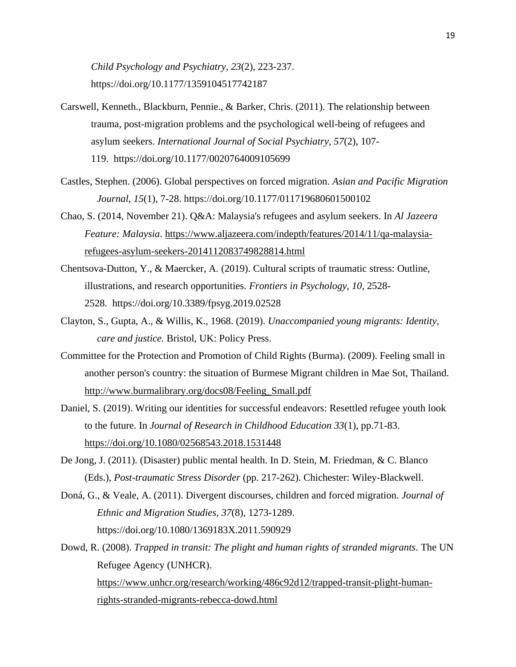*Child Psychology and Psychiatry, 23*(2), 223-237. https://doi.org/10.1177/1359104517742187

- Carswell, Kenneth., Blackburn, Pennie., & Barker, Chris. (2011). The relationship between trauma, post-migration problems and the psychological well-being of refugees and asylum seekers. *International Journal of Social Psychiatry, 57*(2), 107- 119. [https://doi.org/1](https://doi.org/10.1037/0033-2909.117.3.497)0.1177/0020764009105699
- Castles, Stephen. (2006). Global perspectives on forced migration. *Asian and Pacific Migration Journal*, *15*(1), 7-28. https://doi.org/10.1177/011719680601500102
- Chao, S. (2014, November 21). Q&A: Malaysia's refugees and asylum seekers. In *Al Jazeera Feature: Malaysia*. [https://www.aljazeera.com/indepth/features/2014/11/qa-malaysia](https://www.aljazeera.com/indepth/features/2014/11/qa-malaysia-refugees-asylum-seekers-2014112083749828814.html)[refugees-asylum-seekers-2014112083749828814.html](https://www.aljazeera.com/indepth/features/2014/11/qa-malaysia-refugees-asylum-seekers-2014112083749828814.html)
- Chentsova-Dutton, Y., & Maercker, A. (2019). Cultural scripts of traumatic stress: Outline, illustrations, and research opportunities. *Frontiers in Psychology, 10*, 2528- 2528. [https://doi.org/1](https://doi.org/10.1037/0033-2909.117.3.497)0.3389/fpsyg.2019.02528
- Clayton, S., Gupta, A., & Willis, K., 1968. (2019). *Unaccompanied young migrants: Identity, care and justice.* Bristol, UK: Policy Press.
- Committee for the Protection and Promotion of Child Rights (Burma). (2009). Feeling small in another person's country: the situation of Burmese Migrant children in Mae Sot, Thailand. [http://www.burmalibrary.org/docs08/Feeling\\_Small.pdf](http://www.burmalibrary.org/docs08/Feeling_Small.pdf)
- Daniel, S. (2019). Writing our identities for successful endeavors: Resettled refugee youth look to the future. In *Journal of Research in Childhood Education 33*(1), pp.71-83. <https://doi.org/10.1080/02568543.2018.1531448>
- De Jong, J. (2011). (Disaster) public mental health. In D. Stein, M. Friedman, & C. Blanco (Eds.), *Post-traumatic Stress Disorder* (pp. 217-262). Chichester: Wiley-Blackwell.
- Doná, G., & Veale, A. (2011). Divergent discourses, children and forced migration. *Journal of Ethnic and Migration Studies, 37*(8), 1273-1289. [https://doi.org/1](https://doi.org/10.1037/0033-2909.117.3.497)0.1080/1369183X.2011.590929
- Dowd, R. (2008). *Trapped in transit: The plight and human rights of stranded migrants*. The UN Refugee Agency (UNHCR). [https://www.unhcr.org/research/working/486c92d12/trapped-transit-plight-human](https://www.unhcr.org/research/working/486c92d12/trapped-transit-plight-human-rights-stranded-migrants-rebecca-dowd.html)[rights-stranded-migrants-rebecca-dowd.html](https://www.unhcr.org/research/working/486c92d12/trapped-transit-plight-human-rights-stranded-migrants-rebecca-dowd.html)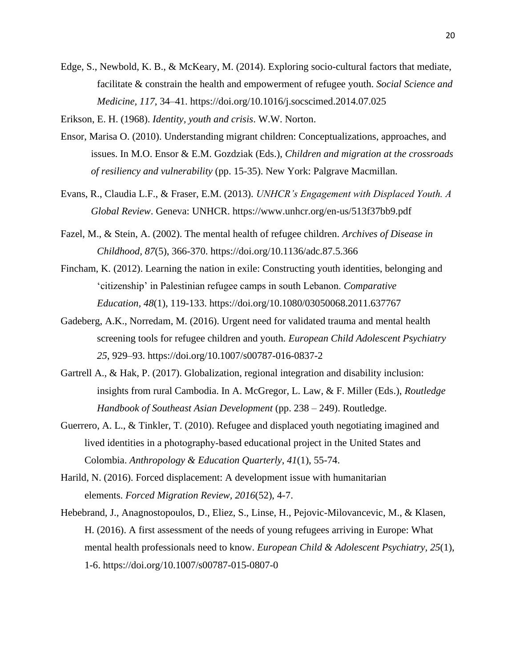Edge, S., Newbold, K. B., & McKeary, M. (2014). Exploring socio-cultural factors that mediate, facilitate & constrain the health and empowerment of refugee youth. *Social Science and Medicine, 117*, 34–41. https://doi.org/10.1016/j.socscimed.2014.07.025

Erikson, E. H. (1968). *Identity, youth and crisis*. W.W. Norton.

- Ensor, Marisa O. (2010). Understanding migrant children: Conceptualizations, approaches, and issues. In M.O. Ensor & E.M. Gozdziak (Eds.), *Children and migration at the crossroads of resiliency and vulnerability* (pp. 15-35). New York: Palgrave Macmillan.
- Evans, R., Claudia L.F., & Fraser, E.M. (2013). *UNHCR's Engagement with Displaced Youth. A Global Review*. Geneva: UNHCR. https://www.unhcr.org/en-us/513f37bb9.pdf
- Fazel, M., & Stein, A. (2002). The mental health of refugee children. *Archives of Disease in Childhood, 87*(5), 366-370. https://doi.org/10.1136/adc.87.5.366
- Fincham, K. (2012). Learning the nation in exile: Constructing youth identities, belonging and 'citizenship' in Palestinian refugee camps in south Lebanon. *Comparative Education, 48*(1), 119-133. https://doi.org/10.1080/03050068.2011.637767
- Gadeberg, A.K., Norredam, M. (2016). Urgent need for validated trauma and mental health screening tools for refugee children and youth. *European Child Adolescent Psychiatry 25*, 929–93. https://doi.org/10.1007/s00787-016-0837-2
- Gartrell A., & Hak, P. (2017). Globalization, regional integration and disability inclusion: insights from rural Cambodia. In A. McGregor, L. Law, & F. Miller (Eds.), *Routledge Handbook of Southeast Asian Development* (pp. 238 – 249). Routledge.
- Guerrero, A. L., & Tinkler, T. (2010). Refugee and displaced youth negotiating imagined and lived identities in a photography‐based educational project in the United States and Colombia. *Anthropology & Education Quarterly*, *41*(1), 55-74.
- Harild, N. (2016). Forced displacement: A development issue with humanitarian elements. *Forced Migration Review, 2016*(52), 4-7.
- Hebebrand, J., Anagnostopoulos, D., Eliez, S., Linse, H., Pejovic-Milovancevic, M., & Klasen, H. (2016). A first assessment of the needs of young refugees arriving in Europe: What mental health professionals need to know. *European Child & Adolescent Psychiatry, 25*(1), 1-6. https://doi.org/10.1007/s00787-015-0807-0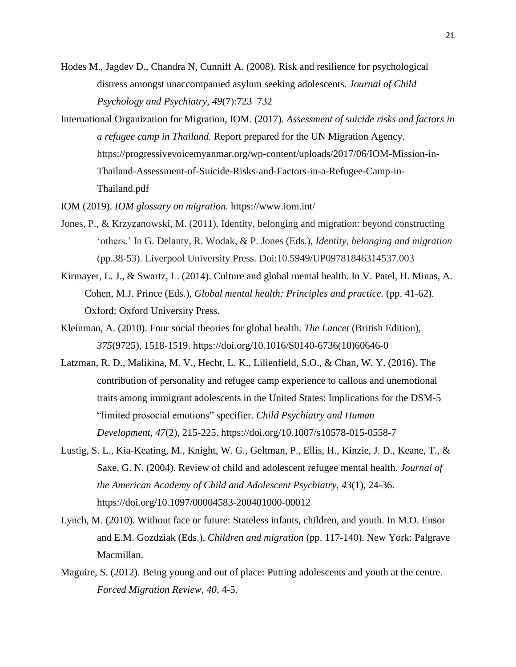- Hodes M., Jagdev D., Chandra N, Cunniff A. (2008). Risk and resilience for psychological distress amongst unaccompanied asylum seeking adolescents. *Journal of Child Psychology and Psychiatry, 49*(7):723–732
- International Organization for Migration, IOM. (2017). *Assessment of suicide risks and factors in a refugee camp in Thailand.* Report prepared for the UN Migration Agency. https://progressivevoicemyanmar.org/wp-content/uploads/2017/06/IOM-Mission-in-Thailand-Assessment-of-Suicide-Risks-and-Factors-in-a-Refugee-Camp-in-Thailand.pdf

IOM (2019). *IOM glossary on migration.* <https://www.iom.int/>

- Jones, P., & Krzyzanowski, M. (2011). Identity, belonging and migration: beyond constructing 'others.' In G. Delanty, R. Wodak, & P. Jones (Eds.), *Identity, belonging and migration* (pp.38-53). Liverpool University Press. Doi:10.5949/UP09781846314537.003
- Kirmayer, L. J., & Swartz, L. (2014). Culture and global mental health. In V. Patel, H. Minas, A. Cohen, M.J. Prince (Eds.), *Global mental health: Principles and practice.* (pp. 41-62). Oxford: Oxford University Press.
- Kleinman, A. (2010). Four social theories for global health. *The Lancet* (British Edition), *375*(9725), 1518-1519. https://doi.org/10.1016/S0140-6736(10)60646-0
- Latzman, R. D., Malikina, M. V., Hecht, L. K., Lilienfield, S.O., & Chan, W. Y. (2016). The contribution of personality and refugee camp experience to callous and unemotional traits among immigrant adolescents in the United States: Implications for the DSM-5 "limited prosocial emotions" specifier. *Child Psychiatry and Human Development, 47*(2), 215-225. https://doi.org/10.1007/s10578-015-0558-7
- Lustig, S. L., Kia-Keating, M., Knight, W. G., Geltman, P., Ellis, H., Kinzie, J. D., Keane, T., & Saxe, G. N. (2004). Review of child and adolescent refugee mental health. *Journal of the American Academy of Child and Adolescent Psychiatry, 43*(1), 24-36. https://doi.org/10.1097/00004583-200401000-00012
- Lynch, M. (2010). Without face or future: Stateless infants, children, and youth. In M.O. Ensor and E.M. Gozdziak (Eds.), *Children and migration* (pp. 117-140). New York: Palgrave Macmillan.
- Maguire, S. (2012). Being young and out of place: Putting adolescents and youth at the centre. *Forced Migration Review, 40,* 4-5.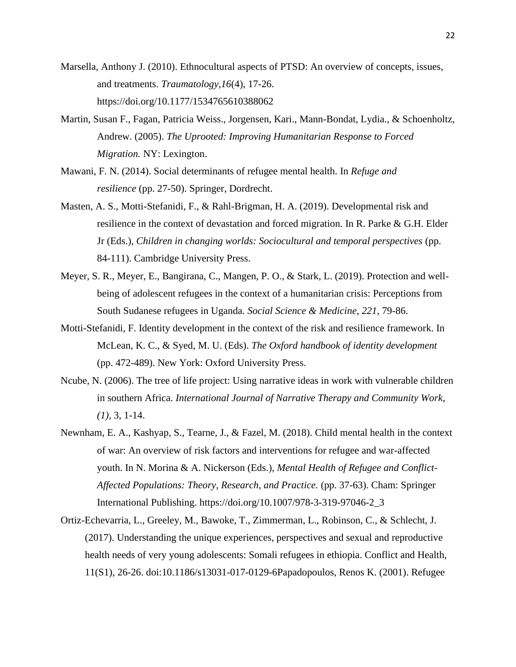- Marsella, Anthony J. (2010). Ethnocultural aspects of PTSD: An overview of concepts, issues, and treatments. *Traumatology,16*(4), 17-26. https://doi.org/10.1177/1534765610388062
- Martin, Susan F., Fagan, Patricia Weiss., Jorgensen, Kari., Mann-Bondat, Lydia., & Schoenholtz, Andrew. (2005). *The Uprooted: Improving Humanitarian Response to Forced Migration.* NY: Lexington.
- Mawani, F. N. (2014). Social determinants of refugee mental health. In *Refuge and resilience* (pp. 27-50). Springer, Dordrecht.
- Masten, A. S., Motti-Stefanidi, F., & Rahl-Brigman, H. A. (2019). Developmental risk and resilience in the context of devastation and forced migration. In R. Parke & G.H. Elder Jr (Eds.), *Children in changing worlds: Sociocultural and temporal perspectives* (pp. 84-111). Cambridge University Press.
- Meyer, S. R., Meyer, E., Bangirana, C., Mangen, P. O., & Stark, L. (2019). Protection and wellbeing of adolescent refugees in the context of a humanitarian crisis: Perceptions from South Sudanese refugees in Uganda. *Social Science & Medicine*, *221*, 79-86.
- Motti-Stefanidi, F. Identity development in the context of the risk and resilience framework. In McLean, K. C., & Syed, M. U. (Eds). *The Oxford handbook of identity development*  (pp. 472-489). New York: Oxford University Press.
- Ncube, N. (2006). The tree of life project: Using narrative ideas in work with vulnerable children in southern Africa. *International Journal of Narrative Therapy and Community Work*, *(1),* 3, 1-14.
- Newnham, E. A., Kashyap, S., Tearne, J., & Fazel, M. (2018). Child mental health in the context of war: An overview of risk factors and interventions for refugee and war-affected youth. In N. Morina & A. Nickerson (Eds.), *Mental Health of Refugee and Conflict-Affected Populations: Theory, Research, and Practice.* (pp. 37-63). Cham: Springer International Publishing. https://doi.org/10.1007/978-3-319-97046-2\_3
- Ortiz-Echevarria, L., Greeley, M., Bawoke, T., Zimmerman, L., Robinson, C., & Schlecht, J. (2017). Understanding the unique experiences, perspectives and sexual and reproductive health needs of very young adolescents: Somali refugees in ethiopia. Conflict and Health, 11(S1), 26-26. doi:10.1186/s13031-017-0129-6Papadopoulos, Renos K. (2001). Refugee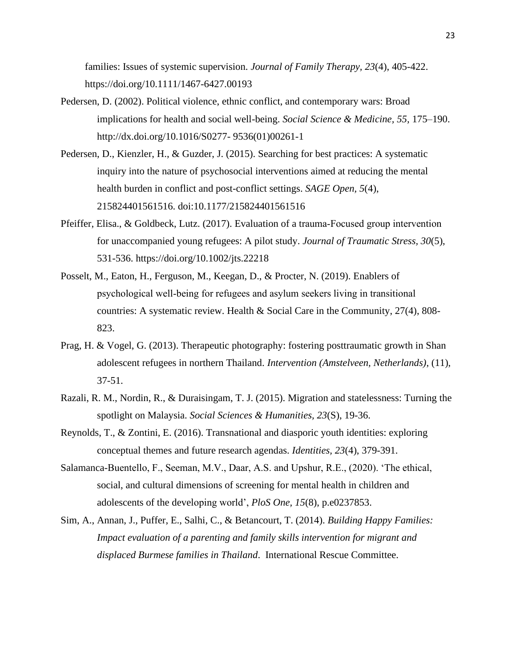families: Issues of systemic supervision. *Journal of Family Therapy, 23*(4), 405-422. https://doi.org/10.1111/1467-6427.00193

- Pedersen, D. (2002). Political violence, ethnic conflict, and contemporary wars: Broad implications for health and social well-being. *Social Science & Medicine, 55,* 175–190. http://dx.doi.org/10.1016/S0277- 9536(01)00261-1
- Pedersen, D., Kienzler, H., & Guzder, J. (2015). Searching for best practices: A systematic inquiry into the nature of psychosocial interventions aimed at reducing the mental health burden in conflict and post-conflict settings. *SAGE Open, 5*(4), 215824401561516. doi:10.1177/215824401561516
- Pfeiffer, Elisa., & Goldbeck, Lutz. (2017). Evaluation of a trauma‐Focused group intervention for unaccompanied young refugees: A pilot study. *Journal of Traumatic Stress, 30*(5), 531-536. https://doi.org/10.1002/jts.22218
- Posselt, M., Eaton, H., Ferguson, M., Keegan, D., & Procter, N. (2019). Enablers of psychological well‐being for refugees and asylum seekers living in transitional countries: A systematic review. Health & Social Care in the Community, 27(4), 808- 823.
- Prag, H. & Vogel, G. (2013). Therapeutic photography: fostering posttraumatic growth in Shan adolescent refugees in northern Thailand. *Intervention (Amstelveen, Netherlands)*, (11), 37-51.
- Razali, R. M., Nordin, R., & Duraisingam, T. J. (2015). Migration and statelessness: Turning the spotlight on Malaysia. *Social Sciences & Humanities, 23*(S), 19-36.
- Reynolds, T., & Zontini, E. (2016). Transnational and diasporic youth identities: exploring conceptual themes and future research agendas. *Identities, 23*(4), 379-391.
- Salamanca-Buentello, F., Seeman, M.V., Daar, A.S. and Upshur, R.E., (2020). 'The ethical, social, and cultural dimensions of screening for mental health in children and adolescents of the developing world', *PloS One, 15*(8), p.e0237853.
- Sim, A., Annan, J., Puffer, E., Salhi, C., & Betancourt, T. (2014). *Building Happy Families: Impact evaluation of a parenting and family skills intervention for migrant and displaced Burmese families in Thailand*. International Rescue Committee.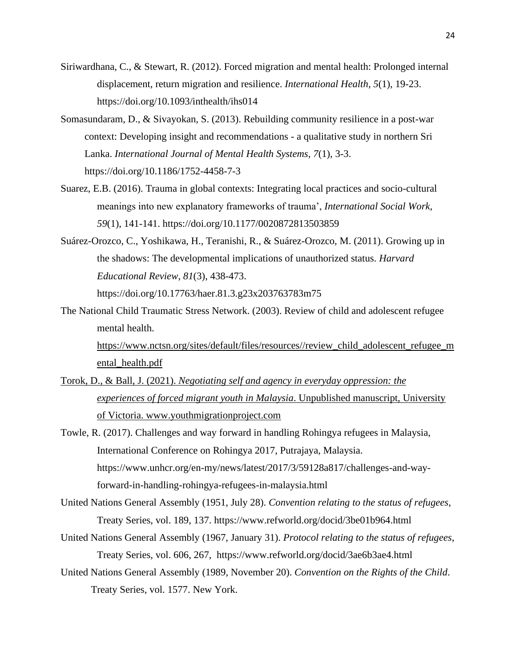- Siriwardhana, C., & Stewart, R. (2012). Forced migration and mental health: Prolonged internal displacement, return migration and resilience. *International Health*, *5*(1), 19-23. https://doi.org/10.1093/inthealth/ihs014
- Somasundaram, D., & Sivayokan, S. (2013). Rebuilding community resilience in a post-war context: Developing insight and recommendations - a qualitative study in northern Sri Lanka. *International Journal of Mental Health Systems, 7*(1), 3-3. https://doi.org/10.1186/1752-4458-7-3
- Suarez, E.B. (2016). Trauma in global contexts: Integrating local practices and socio-cultural meanings into new explanatory frameworks of trauma', *International Social Work, 59*(1), 141-141. https://doi.org/10.1177/0020872813503859
- Suárez-Orozco, C., Yoshikawa, H., Teranishi, R., & Suárez-Orozco, M. (2011). Growing up in the shadows: The developmental implications of unauthorized status. *Harvard Educational Review*, *81*(3), 438-473. https://doi.org/10.17763/haer.81.3.g23x203763783m75
- The National Child Traumatic Stress Network. (2003). Review of child and adolescent refugee mental health.

[https://www.nctsn.org/sites/default/files/resources//review\\_child\\_adolescent\\_refugee\\_m](https://www.nctsn.org/sites/default/files/resources/review_child_adolescent_refugee_mental_health.pdf) [ental\\_health.pdf](https://www.nctsn.org/sites/default/files/resources/review_child_adolescent_refugee_mental_health.pdf)

- Torok, D., & Ball, J. (2021). *Negotiating self and agency in everyday oppression: the experiences of forced migrant youth in Malaysia*. Unpublished manuscript, University of Victoria. www.youthmigrationproject.com
- Towle, R. (2017). Challenges and way forward in handling Rohingya refugees in Malaysia, International Conference on Rohingya 2017, Putrajaya, Malaysia. [https://www.unhcr.org/en-my/news/latest/2017/3/59128a817/challenges-and-way](https://www.unhcr.org/en-my/news/latest/2017/3/59128a817/challenges-and-way-forward-in-handling-rohingya-refugees-in-malaysia.html)[forward-in-handling-rohingya-refugees-in-malaysia.html](https://www.unhcr.org/en-my/news/latest/2017/3/59128a817/challenges-and-way-forward-in-handling-rohingya-refugees-in-malaysia.html)
- United Nations General Assembly (1951, July 28). *Convention relating to the status of refugees*, Treaty Series, vol. 189, 137. https://www.refworld.org/docid/3be01b964.html
- United Nations General Assembly (1967, January 31). *Protocol relating to the status of refugees*, Treaty Series, vol. 606, 267, https://www.refworld.org/docid/3ae6b3ae4.html
- United Nations General Assembly (1989, November 20). *Convention on the Rights of the Child*. Treaty Series, vol. 1577. New York.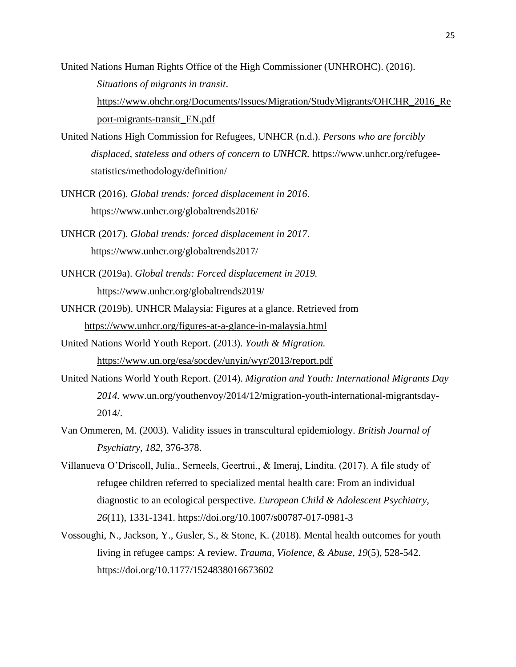- United Nations Human Rights Office of the High Commissioner (UNHROHC). (2016). *Situations of migrants in transit*. [https://www.ohchr.org/Documents/Issues/Migration/StudyMigrants/OHCHR\\_2016\\_Re](https://www.ohchr.org/Documents/Issues/Migration/StudyMigrants/OHCHR_2016_Report-migrants-transit_EN.pdf) [port-migrants-transit\\_EN.pdf](https://www.ohchr.org/Documents/Issues/Migration/StudyMigrants/OHCHR_2016_Report-migrants-transit_EN.pdf)
- United Nations High Commission for Refugees, UNHCR (n.d.). *Persons who are forcibly displaced, stateless and others of concern to UNHCR.* https://www.unhcr.org/refugeestatistics/methodology/definition/
- UNHCR (2016). *Global trends: forced displacement in 2016*. https://www.unhcr.org/globaltrends2016/
- UNHCR (2017). *Global trends: forced displacement in 2017*. https://www.unhcr.org/globaltrends2017/
- UNHCR (2019a). *Global trends: Forced displacement in 2019.*  <https://www.unhcr.org/globaltrends2019/>
- UNHCR (2019b). UNHCR Malaysia: Figures at a glance. Retrieved from <https://www.unhcr.org/figures-at-a-glance-in-malaysia.html>
- United Nations World Youth Report. (2013). *Youth & Migration.* <https://www.un.org/esa/socdev/unyin/wyr/2013/report.pdf>
- United Nations World Youth Report. (2014). *Migration and Youth: International Migrants Day 2014.* www.un.org/youthenvoy/2014/12/migration-youth-international-migrantsday-2014/.
- Van Ommeren, M. (2003). Validity issues in transcultural epidemiology. *British Journal of Psychiatry, 182,* 376-378.
- Villanueva O'Driscoll, Julia., Serneels, Geertrui., & Imeraj, Lindita. (2017). A file study of refugee children referred to specialized mental health care: From an individual diagnostic to an ecological perspective. *European Child & Adolescent Psychiatry, 26*(11), 1331-1341. https://doi.org/10.1007/s00787-017-0981-3
- Vossoughi, N., Jackson, Y., Gusler, S., & Stone, K. (2018). Mental health outcomes for youth living in refugee camps: A review. *Trauma, Violence, & Abuse*, *19*(5), 528-542. https://doi.org/10.1177/1524838016673602